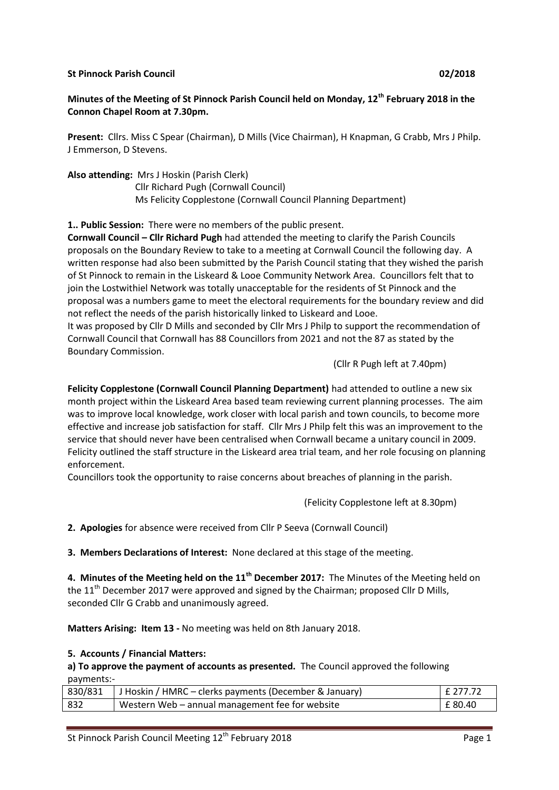#### **St Pinnock Parish Council 02/2018**

# **Minutes of the Meeting of St Pinnock Parish Council held on Monday, 12th February 2018 in the Connon Chapel Room at 7.30pm.**

**Present:** Cllrs. Miss C Spear (Chairman), D Mills (Vice Chairman), H Knapman, G Crabb, Mrs J Philp. J Emmerson, D Stevens.

**Also attending:** Mrs J Hoskin (Parish Clerk)

Cllr Richard Pugh (Cornwall Council) Ms Felicity Copplestone (Cornwall Council Planning Department)

**1.. Public Session:** There were no members of the public present.

**Cornwall Council – Cllr Richard Pugh** had attended the meeting to clarify the Parish Councils proposals on the Boundary Review to take to a meeting at Cornwall Council the following day. A written response had also been submitted by the Parish Council stating that they wished the parish of St Pinnock to remain in the Liskeard & Looe Community Network Area. Councillors felt that to join the Lostwithiel Network was totally unacceptable for the residents of St Pinnock and the proposal was a numbers game to meet the electoral requirements for the boundary review and did not reflect the needs of the parish historically linked to Liskeard and Looe.

It was proposed by Cllr D Mills and seconded by Cllr Mrs J Philp to support the recommendation of Cornwall Council that Cornwall has 88 Councillors from 2021 and not the 87 as stated by the Boundary Commission.

(Cllr R Pugh left at 7.40pm)

**Felicity Copplestone (Cornwall Council Planning Department)** had attended to outline a new six month project within the Liskeard Area based team reviewing current planning processes. The aim was to improve local knowledge, work closer with local parish and town councils, to become more effective and increase job satisfaction for staff. Cllr Mrs J Philp felt this was an improvement to the service that should never have been centralised when Cornwall became a unitary council in 2009. Felicity outlined the staff structure in the Liskeard area trial team, and her role focusing on planning enforcement.

Councillors took the opportunity to raise concerns about breaches of planning in the parish.

(Felicity Copplestone left at 8.30pm)

**2. Apologies** for absence were received from Cllr P Seeva (Cornwall Council)

**3. Members Declarations of Interest:** None declared at this stage of the meeting.

**4. Minutes of the Meeting held on the 11th December 2017:** The Minutes of the Meeting held on the 11<sup>th</sup> December 2017 were approved and signed by the Chairman; proposed Cllr D Mills, seconded Cllr G Crabb and unanimously agreed.

**Matters Arising: Item 13 -** No meeting was held on 8th January 2018.

#### **5. Accounts / Financial Matters:**

**a) To approve the payment of accounts as presented.** The Council approved the following payments:-

|     | 830/831   J Hoskin / HMRC – clerks payments (December & January) | F 277.72  |
|-----|------------------------------------------------------------------|-----------|
| 832 | Western Web - annual management fee for website                  | l £ 80.40 |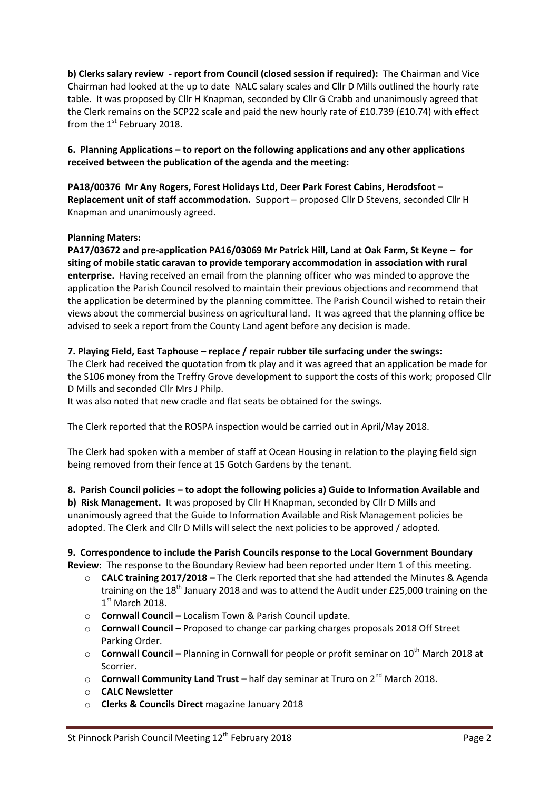**b) Clerks salary review - report from Council (closed session if required):** The Chairman and Vice Chairman had looked at the up to date NALC salary scales and Cllr D Mills outlined the hourly rate table. It was proposed by Cllr H Knapman, seconded by Cllr G Crabb and unanimously agreed that the Clerk remains on the SCP22 scale and paid the new hourly rate of £10.739 (£10.74) with effect from the  $1<sup>st</sup>$  February 2018.

**6. Planning Applications – to report on the following applications and any other applications received between the publication of the agenda and the meeting:**

**PA18/00376 Mr Any Rogers, Forest Holidays Ltd, Deer Park Forest Cabins, Herodsfoot – Replacement unit of staff accommodation.** Support – proposed Cllr D Stevens, seconded Cllr H Knapman and unanimously agreed.

### **Planning Maters:**

**PA17/03672 and pre-application PA16/03069 Mr Patrick Hill, Land at Oak Farm, St Keyne – for siting of mobile static caravan to provide temporary accommodation in association with rural enterprise.** Having received an email from the planning officer who was minded to approve the application the Parish Council resolved to maintain their previous objections and recommend that the application be determined by the planning committee. The Parish Council wished to retain their views about the commercial business on agricultural land. It was agreed that the planning office be advised to seek a report from the County Land agent before any decision is made.

### **7. Playing Field, East Taphouse – replace / repair rubber tile surfacing under the swings:**

The Clerk had received the quotation from tk play and it was agreed that an application be made for the S106 money from the Treffry Grove development to support the costs of this work; proposed Cllr D Mills and seconded Cllr Mrs J Philp.

It was also noted that new cradle and flat seats be obtained for the swings.

The Clerk reported that the ROSPA inspection would be carried out in April/May 2018.

The Clerk had spoken with a member of staff at Ocean Housing in relation to the playing field sign being removed from their fence at 15 Gotch Gardens by the tenant.

#### **8. Parish Council policies – to adopt the following policies a) Guide to Information Available and**

**b) Risk Management.** It was proposed by Cllr H Knapman, seconded by Cllr D Mills and unanimously agreed that the Guide to Information Available and Risk Management policies be adopted. The Clerk and Cllr D Mills will select the next policies to be approved / adopted.

**9. Correspondence to include the Parish Councils response to the Local Government Boundary Review:** The response to the Boundary Review had been reported under Item 1 of this meeting.

- o **CALC training 2017/2018 –** The Clerk reported that she had attended the Minutes & Agenda training on the 18<sup>th</sup> January 2018 and was to attend the Audit under £25,000 training on the  $1<sup>st</sup>$  March 2018.
- o **Cornwall Council –** Localism Town & Parish Council update.
- o **Cornwall Council –** Proposed to change car parking charges proposals 2018 Off Street Parking Order.
- o **Cornwall Council –** Planning in Cornwall for people or profit seminar on 10th March 2018 at Scorrier.
- **Cornwall Community Land Trust** half day seminar at Truro on 2<sup>nd</sup> March 2018.
- o **CALC Newsletter**
- o **Clerks & Councils Direct** magazine January 2018